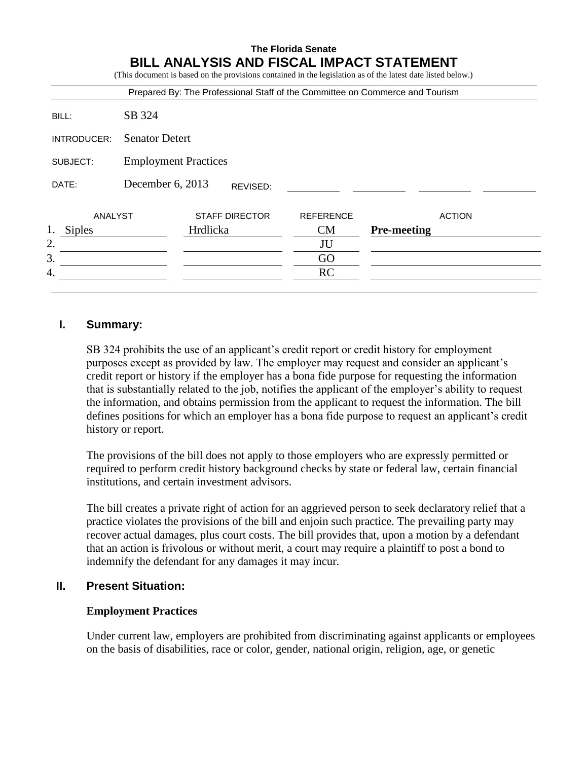# **The Florida Senate BILL ANALYSIS AND FISCAL IMPACT STATEMENT**

(This document is based on the provisions contained in the legislation as of the latest date listed below.)

|                     |                             |                       |          | Prepared By: The Professional Staff of the Committee on Commerce and Tourism |                    |               |
|---------------------|-----------------------------|-----------------------|----------|------------------------------------------------------------------------------|--------------------|---------------|
| BILL:               | SB 324                      |                       |          |                                                                              |                    |               |
| INTRODUCER:         | <b>Senator Detert</b>       |                       |          |                                                                              |                    |               |
| SUBJECT:            | <b>Employment Practices</b> |                       |          |                                                                              |                    |               |
| DATE:               | December 6, 2013            |                       | REVISED: |                                                                              |                    |               |
| ANALYST             |                             | <b>STAFF DIRECTOR</b> |          | <b>REFERENCE</b>                                                             |                    | <b>ACTION</b> |
| 1.<br><b>Siples</b> |                             | Hrdlicka              |          | CM                                                                           | <b>Pre-meeting</b> |               |
| 2.                  |                             |                       |          | JU                                                                           |                    |               |
| 3.                  |                             |                       |          | GO                                                                           |                    |               |
| 4.                  |                             |                       |          | <b>RC</b>                                                                    |                    |               |

#### **I. Summary:**

SB 324 prohibits the use of an applicant's credit report or credit history for employment purposes except as provided by law. The employer may request and consider an applicant's credit report or history if the employer has a bona fide purpose for requesting the information that is substantially related to the job, notifies the applicant of the employer's ability to request the information, and obtains permission from the applicant to request the information. The bill defines positions for which an employer has a bona fide purpose to request an applicant's credit history or report.

The provisions of the bill does not apply to those employers who are expressly permitted or required to perform credit history background checks by state or federal law, certain financial institutions, and certain investment advisors.

The bill creates a private right of action for an aggrieved person to seek declaratory relief that a practice violates the provisions of the bill and enjoin such practice. The prevailing party may recover actual damages, plus court costs. The bill provides that, upon a motion by a defendant that an action is frivolous or without merit, a court may require a plaintiff to post a bond to indemnify the defendant for any damages it may incur.

# **II. Present Situation:**

#### **Employment Practices**

Under current law, employers are prohibited from discriminating against applicants or employees on the basis of disabilities, race or color, gender, national origin, religion, age, or genetic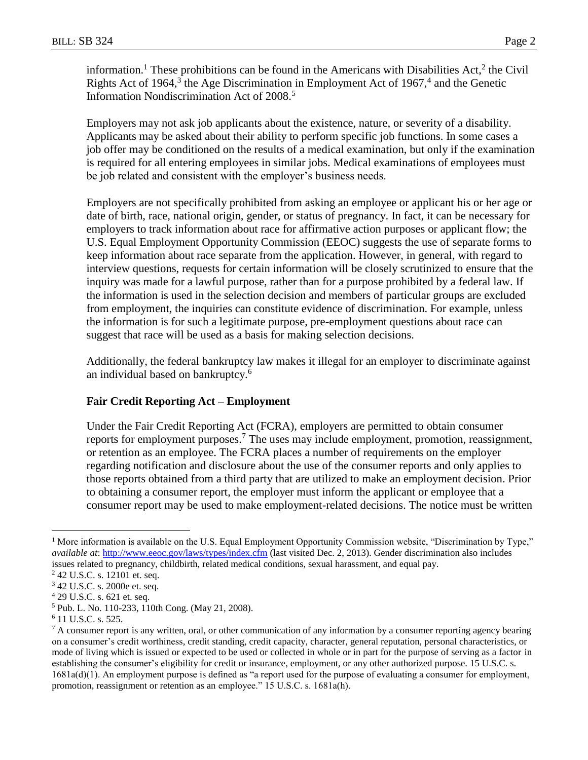information.<sup>1</sup> These prohibitions can be found in the Americans with Disabilities Act,<sup>2</sup> the Civil Rights Act of 1964, $3$  the Age Discrimination in Employment Act of 1967, $4$  and the Genetic Information Nondiscrimination Act of 2008.<sup>5</sup>

Employers may not ask job applicants about the existence, nature, or severity of a disability. Applicants may be asked about their ability to perform specific job functions. In some cases a job offer may be conditioned on the results of a medical examination, but only if the examination is required for all entering employees in similar jobs. Medical examinations of employees must be job related and consistent with the employer's business needs.

Employers are not specifically prohibited from asking an employee or applicant his or her age or date of birth, race, national origin, gender, or status of pregnancy. In fact, it can be necessary for employers to track information about race for affirmative action purposes or applicant flow; the U.S. Equal Employment Opportunity Commission (EEOC) suggests the use of separate forms to keep information about race separate from the application. However, in general, with regard to interview questions, requests for certain information will be closely scrutinized to ensure that the inquiry was made for a lawful purpose, rather than for a purpose prohibited by a federal law. If the information is used in the selection decision and members of particular groups are excluded from employment, the inquiries can constitute evidence of discrimination. For example, unless the information is for such a legitimate purpose, pre-employment questions about race can suggest that race will be used as a basis for making selection decisions.

Additionally, the federal bankruptcy law makes it illegal for an employer to discriminate against an individual based on bankruptcy.<sup>6</sup>

### **Fair Credit Reporting Act – Employment**

Under the Fair Credit Reporting Act (FCRA), employers are permitted to obtain consumer reports for employment purposes.<sup>7</sup> The uses may include employment, promotion, reassignment, or retention as an employee. The FCRA places a number of requirements on the employer regarding notification and disclosure about the use of the consumer reports and only applies to those reports obtained from a third party that are utilized to make an employment decision. Prior to obtaining a consumer report, the employer must inform the applicant or employee that a consumer report may be used to make employment-related decisions. The notice must be written

 $\overline{a}$ 

<sup>&</sup>lt;sup>1</sup> More information is available on the U.S. Equal Employment Opportunity Commission website, "Discrimination by Type," *available at*:<http://www.eeoc.gov/laws/types/index.cfm> (last visited Dec. 2, 2013). Gender discrimination also includes issues related to pregnancy, childbirth, related medical conditions, sexual harassment, and equal pay.

<sup>2</sup> 42 U.S.C. s. 12101 et. seq.

<sup>3</sup> 42 U.S.C. s. 2000e et. seq.

<sup>4</sup> 29 U.S.C. s. 621 et. seq.

<sup>5</sup> Pub. L. No. 110-233, 110th Cong. (May 21, 2008).

<sup>6</sup> 11 U.S.C. s. 525.

 $<sup>7</sup>$  A consumer report is any written, oral, or other communication of any information by a consumer reporting agency bearing</sup> on a consumer's credit worthiness, credit standing, credit capacity, character, general reputation, personal characteristics, or mode of living which is issued or expected to be used or collected in whole or in part for the purpose of serving as a factor in establishing the consumer's eligibility for credit or insurance, employment, or any other authorized purpose. 15 U.S.C. s. 1681a(d)(1). An employment purpose is defined as "a report used for the purpose of evaluating a consumer for employment, promotion, reassignment or retention as an employee." 15 U.S.C. s. 1681a(h).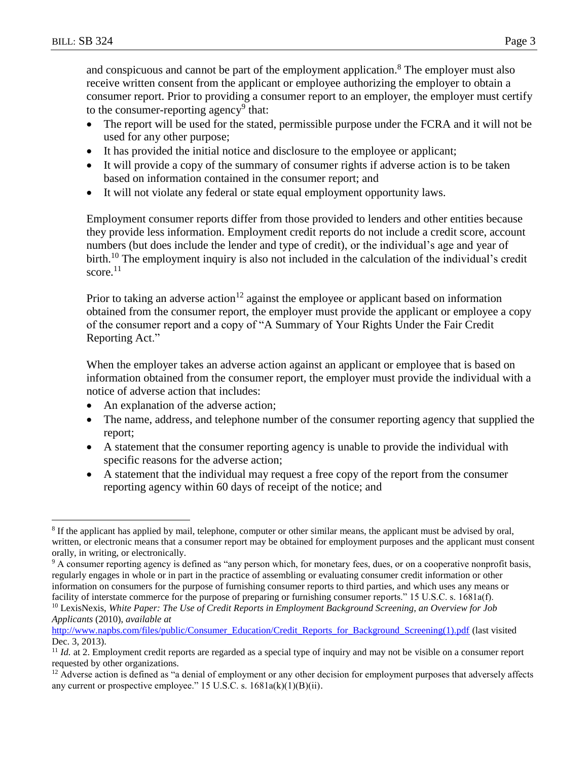and conspicuous and cannot be part of the employment application.<sup>8</sup> The employer must also receive written consent from the applicant or employee authorizing the employer to obtain a consumer report. Prior to providing a consumer report to an employer, the employer must certify to the consumer-reporting agency<sup>9</sup> that:

- The report will be used for the stated, permissible purpose under the FCRA and it will not be used for any other purpose;
- It has provided the initial notice and disclosure to the employee or applicant;
- It will provide a copy of the summary of consumer rights if adverse action is to be taken based on information contained in the consumer report; and
- It will not violate any federal or state equal employment opportunity laws.

Employment consumer reports differ from those provided to lenders and other entities because they provide less information. Employment credit reports do not include a credit score, account numbers (but does include the lender and type of credit), or the individual's age and year of birth.<sup>10</sup> The employment inquiry is also not included in the calculation of the individual's credit score. $11$ 

Prior to taking an adverse action<sup>12</sup> against the employee or applicant based on information obtained from the consumer report, the employer must provide the applicant or employee a copy of the consumer report and a copy of "A Summary of Your Rights Under the Fair Credit Reporting Act."

When the employer takes an adverse action against an applicant or employee that is based on information obtained from the consumer report, the employer must provide the individual with a notice of adverse action that includes:

- An explanation of the adverse action;
- The name, address, and telephone number of the consumer reporting agency that supplied the report;
- A statement that the consumer reporting agency is unable to provide the individual with specific reasons for the adverse action;
- A statement that the individual may request a free copy of the report from the consumer reporting agency within 60 days of receipt of the notice; and

 $\overline{a}$ <sup>8</sup> If the applicant has applied by mail, telephone, computer or other similar means, the applicant must be advised by oral, written, or electronic means that a consumer report may be obtained for employment purposes and the applicant must consent orally, in writing, or electronically.

<sup>9</sup> A consumer reporting agency is defined as "any person which, for monetary fees, dues, or on a cooperative nonprofit basis, regularly engages in whole or in part in the practice of assembling or evaluating consumer credit information or other information on consumers for the purpose of furnishing consumer reports to third parties, and which uses any means or facility of interstate commerce for the purpose of preparing or furnishing consumer reports." 15 U.S.C. s. 1681a(f).

<sup>10</sup> LexisNexis, *White Paper: The Use of Credit Reports in Employment Background Screening, an Overview for Job Applicants* (2010), *available at*

[http://www.napbs.com/files/public/Consumer\\_Education/Credit\\_Reports\\_for\\_Background\\_Screening\(1\).pdf](http://www.napbs.com/files/public/Consumer_Education/Credit_Reports_for_Background_Screening(1).pdf) (last visited Dec. 3, 2013).

<sup>&</sup>lt;sup>11</sup> *Id.* at 2. Employment credit reports are regarded as a special type of inquiry and may not be visible on a consumer report requested by other organizations.

 $12$  Adverse action is defined as "a denial of employment or any other decision for employment purposes that adversely affects any current or prospective employee." 15 U.S.C. s.  $1681a(k)(1)(B)(ii)$ .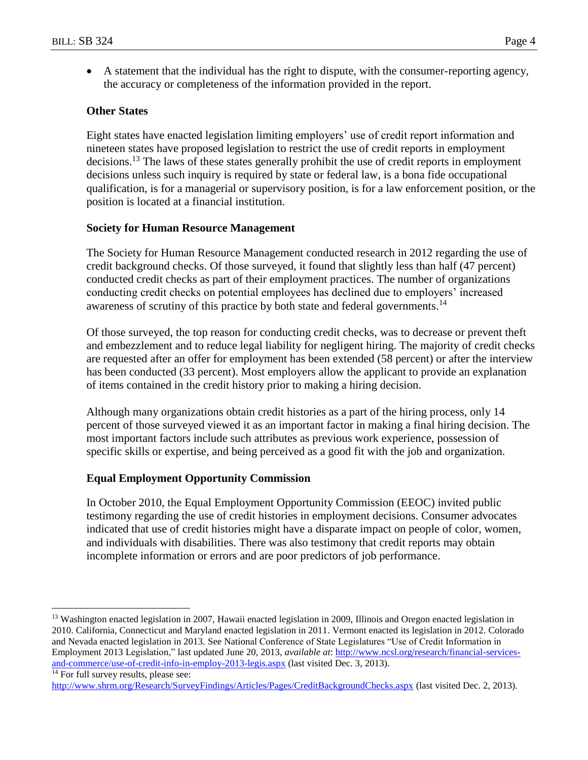A statement that the individual has the right to dispute, with the consumer-reporting agency, the accuracy or completeness of the information provided in the report.

# **Other States**

Eight states have enacted legislation limiting employers' use of credit report information and nineteen states have proposed legislation to restrict the use of credit reports in employment decisions.<sup>13</sup> The laws of these states generally prohibit the use of credit reports in employment decisions unless such inquiry is required by state or federal law, is a bona fide occupational qualification, is for a managerial or supervisory position, is for a law enforcement position, or the position is located at a financial institution.

### **Society for Human Resource Management**

The Society for Human Resource Management conducted research in 2012 regarding the use of credit background checks. Of those surveyed, it found that slightly less than half (47 percent) conducted credit checks as part of their employment practices. The number of organizations conducting credit checks on potential employees has declined due to employers' increased awareness of scrutiny of this practice by both state and federal governments.<sup>14</sup>

Of those surveyed, the top reason for conducting credit checks, was to decrease or prevent theft and embezzlement and to reduce legal liability for negligent hiring. The majority of credit checks are requested after an offer for employment has been extended (58 percent) or after the interview has been conducted (33 percent). Most employers allow the applicant to provide an explanation of items contained in the credit history prior to making a hiring decision.

Although many organizations obtain credit histories as a part of the hiring process, only 14 percent of those surveyed viewed it as an important factor in making a final hiring decision. The most important factors include such attributes as previous work experience, possession of specific skills or expertise, and being perceived as a good fit with the job and organization.

### **Equal Employment Opportunity Commission**

In October 2010, the Equal Employment Opportunity Commission (EEOC) invited public testimony regarding the use of credit histories in employment decisions. Consumer advocates indicated that use of credit histories might have a disparate impact on people of color, women, and individuals with disabilities. There was also testimony that credit reports may obtain incomplete information or errors and are poor predictors of job performance.

 $\overline{a}$ 

<sup>&</sup>lt;sup>13</sup> [Washington](http://apps.leg.wa.gov/documents/billdocs/2007-08/Pdf/Bills/Session%20Law%202007/5827-S.SL.pdf) enacted legislation in 2007, [Hawaii](http://www.capitol.hawaii.gov/session2009/Bills/HB31_CD1_.HTM) enacted legislation in 2009, [Illinois](http://www.ilga.gov/legislation/publicacts/96/PDF/096-1426.pdf) and [Oregon](http://www.leg.state.or.us/10ss1/measures/sb1000.dir/sb1045.en.html) enacted legislation in 2010. [California,](http://www.ncsl.org/issues-research/banking-insurance-financial-services/use-of-credit-information-in-employment-2011-legis.aspx#CA) [Connecticut](http://www.ncsl.org/issues-research/banking-insurance-financial-services/use-of-credit-information-in-employment-2011-legis.aspx#CT) and [Maryland](http://www.ncsl.org/issues-research/banking-insurance-financial-services/use-of-credit-information-in-employment-2011-legis.aspx#MD) enacted legislation in 2011. [Vermont](http://www.ncsl.org/issues-research/banking/use-of-credit-info-in-employ-2012-legis.aspx#VT) enacted its legislation in 2012. Colorado and Nevada enacted legislation in 2013. See National Conference of State Legislatures "Use of Credit Information in Employment 2013 Legislation," last updated June 20, 2013, *available at*: [http://www.ncsl.org/research/financial-services](http://www.ncsl.org/research/financial-services-and-commerce/use-of-credit-info-in-employ-2013-legis.aspx)[and-commerce/use-of-credit-info-in-employ-2013-legis.aspx](http://www.ncsl.org/research/financial-services-and-commerce/use-of-credit-info-in-employ-2013-legis.aspx) (last visited Dec. 3, 2013).

<sup>&</sup>lt;sup>14</sup> For full survey results, please see:

<http://www.shrm.org/Research/SurveyFindings/Articles/Pages/CreditBackgroundChecks.aspx> (last visited Dec. 2, 2013).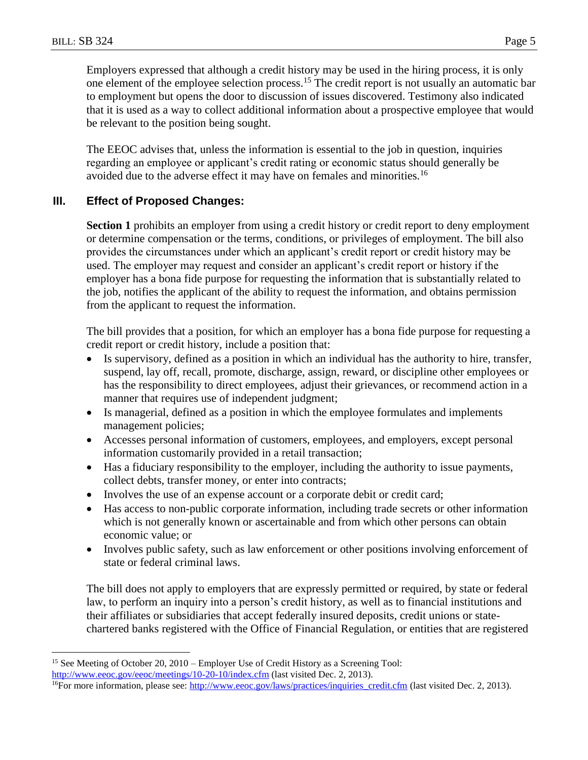Employers expressed that although a credit history may be used in the hiring process, it is only one element of the employee selection process.<sup>15</sup> The credit report is not usually an automatic bar to employment but opens the door to discussion of issues discovered. Testimony also indicated that it is used as a way to collect additional information about a prospective employee that would be relevant to the position being sought.

The EEOC advises that, unless the information is essential to the job in question, inquiries regarding an employee or applicant's credit rating or economic status should generally be avoided due to the adverse effect it may have on females and minorities.<sup>16</sup>

## **III. Effect of Proposed Changes:**

**Section 1** prohibits an employer from using a credit history or credit report to deny employment or determine compensation or the terms, conditions, or privileges of employment. The bill also provides the circumstances under which an applicant's credit report or credit history may be used. The employer may request and consider an applicant's credit report or history if the employer has a bona fide purpose for requesting the information that is substantially related to the job, notifies the applicant of the ability to request the information, and obtains permission from the applicant to request the information.

The bill provides that a position, for which an employer has a bona fide purpose for requesting a credit report or credit history, include a position that:

- Is supervisory, defined as a position in which an individual has the authority to hire, transfer, suspend, lay off, recall, promote, discharge, assign, reward, or discipline other employees or has the responsibility to direct employees, adjust their grievances, or recommend action in a manner that requires use of independent judgment;
- Is managerial, defined as a position in which the employee formulates and implements management policies;
- Accesses personal information of customers, employees, and employers, except personal information customarily provided in a retail transaction;
- Has a fiduciary responsibility to the employer, including the authority to issue payments, collect debts, transfer money, or enter into contracts;
- Involves the use of an expense account or a corporate debit or credit card;
- Has access to non-public corporate information, including trade secrets or other information which is not generally known or ascertainable and from which other persons can obtain economic value; or
- Involves public safety, such as law enforcement or other positions involving enforcement of state or federal criminal laws.

The bill does not apply to employers that are expressly permitted or required, by state or federal law, to perform an inquiry into a person's credit history, as well as to financial institutions and their affiliates or subsidiaries that accept federally insured deposits, credit unions or statechartered banks registered with the Office of Financial Regulation, or entities that are registered

 $\overline{a}$ <sup>15</sup> See Meeting of October 20, 2010 – Employer Use of Credit History as a Screening Tool: <http://www.eeoc.gov/eeoc/meetings/10-20-10/index.cfm> (last visited Dec. 2, 2013).

<sup>&</sup>lt;sup>16</sup>For more information, please see:  $\frac{http://www.eeoc.gov/laws/practices/inguaries~credit.cfm}$  (last visited Dec. 2, 2013).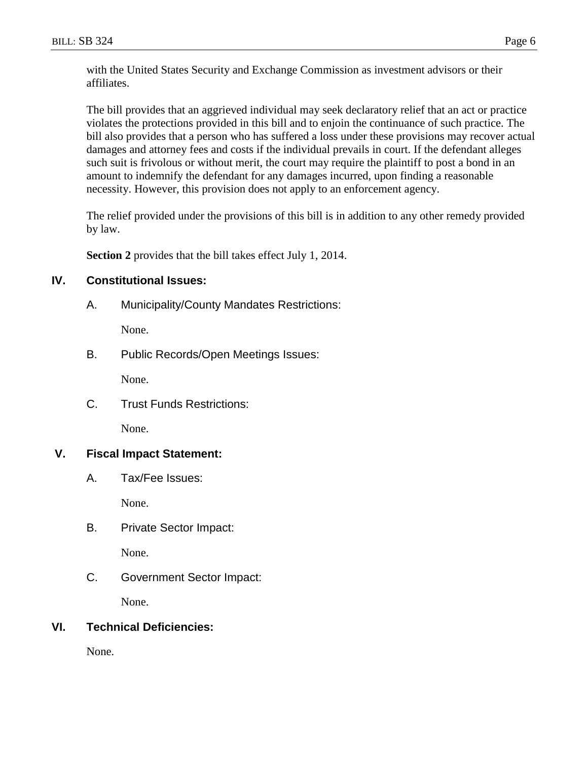The bill provides that an aggrieved individual may seek declaratory relief that an act or practice violates the protections provided in this bill and to enjoin the continuance of such practice. The bill also provides that a person who has suffered a loss under these provisions may recover actual damages and attorney fees and costs if the individual prevails in court. If the defendant alleges such suit is frivolous or without merit, the court may require the plaintiff to post a bond in an amount to indemnify the defendant for any damages incurred, upon finding a reasonable necessity. However, this provision does not apply to an enforcement agency.

The relief provided under the provisions of this bill is in addition to any other remedy provided by law.

**Section 2** provides that the bill takes effect July 1, 2014.

# **IV. Constitutional Issues:**

A. Municipality/County Mandates Restrictions:

None.

B. Public Records/Open Meetings Issues:

None.

C. Trust Funds Restrictions:

None.

# **V. Fiscal Impact Statement:**

A. Tax/Fee Issues:

None.

B. Private Sector Impact:

None.

C. Government Sector Impact:

None.

# **VI. Technical Deficiencies:**

None.